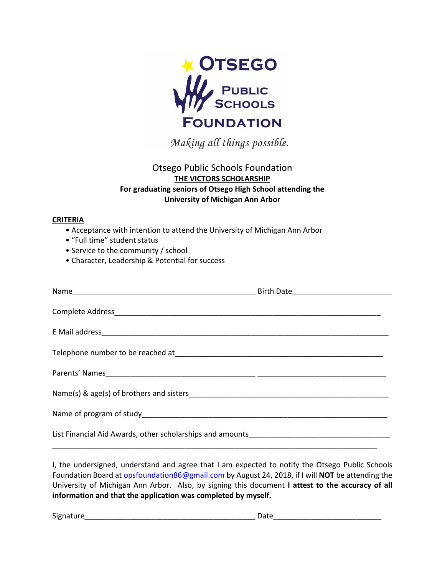

Making all things possible.

## Otsego Public Schools Foundation **THE VICTORS SCHOLARSHIP For graduating seniors of Otsego High School attending the University of Michigan Ann Arbor**

## **CRITERIA**

- Acceptance with intention to attend the University of Michigan Ann Arbor
- "Full time" student status
- Service to the community / school
- Character, Leadership & Potential for success

I, the undersigned, understand and agree that I am expected to notify the Otsego Public Schools Foundation Board at [opsfoundation8](mailto:opsf_86@hotmail.com)6@gmail.com by August 24, 2018, if I will **NOT** be attending the University of Michigan Ann Arbor. Also, by signing this document **I attest to the accuracy of all information and that the application was completed by myself.**

Signature\_\_\_\_\_\_\_\_\_\_\_\_\_\_\_\_\_\_\_\_\_\_\_\_\_\_\_\_\_\_\_\_\_\_\_\_\_\_\_\_\_ Date\_\_\_\_\_\_\_\_\_\_\_\_\_\_\_\_\_\_\_\_\_\_\_\_\_\_